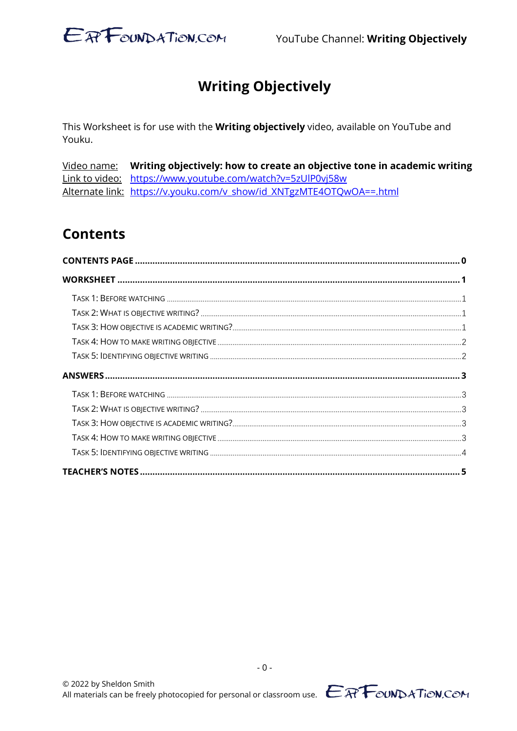

## **Writing Objectively**

This Worksheet is for use with the Writing objectively video, available on YouTube and Youku.

Video name: Writing objectively: how to create an objective tone in academic writing Link to video: https://www.youtube.com/watch?v=5zUlP0vj58w Alternate link: https://v.youku.com/v show/id XNTgzMTE4OTQwOA==.html

### **Contents**

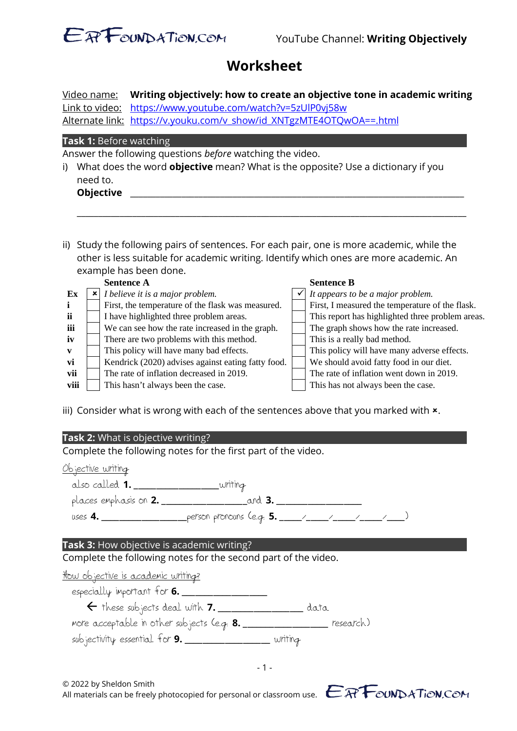

## **Worksheet**

Video name: **Writing objectively: how to create an objective tone in academic writing** Link to video: https://www.youtube.com/watch?v=5zUlP0vj58w Alternate link: https://v.youku.com/v\_show/id\_XNTgzMTE4OTQwOA==.html

### **Task 1:** Before watching

Answer the following questions *before* watching the video.

| <b>Objective</b>                                                                           |
|--------------------------------------------------------------------------------------------|
| need to.                                                                                   |
| i) What does the word <b>objective</b> mean? What is the opposite? Use a dictionary if you |

ii) Study the following pairs of sentences. For each pair, one is more academic, while the other is less suitable for academic writing. Identify which ones are more academic. An example has been done.

\_\_\_\_\_\_\_\_\_\_\_\_\_\_\_\_\_\_\_\_\_\_\_\_\_\_\_\_\_\_\_\_\_\_\_\_\_\_\_\_\_\_\_\_\_\_\_\_\_\_\_\_\_\_\_\_\_\_\_\_\_\_\_\_\_\_\_\_\_\_\_\_\_\_\_\_\_\_\_\_\_\_\_\_\_\_\_\_\_\_\_

|              | <b>Sentence A</b>                                  | <b>Sentence B</b>                                |
|--------------|----------------------------------------------------|--------------------------------------------------|
| Ex           | I believe it is a major problem.                   | It appears to be a major problem.                |
| $\mathbf{i}$ | First, the temperature of the flask was measured.  | First, I measured the temperature of the flask.  |
| ji.          | I have highlighted three problem areas.            | This report has highlighted three problem areas. |
| iii          | We can see how the rate increased in the graph.    | The graph shows how the rate increased.          |
| iv           | There are two problems with this method.           | This is a really bad method.                     |
| $\mathbf{v}$ | This policy will have many bad effects.            | This policy will have many adverse effects.      |
| vi           | Kendrick (2020) advises against eating fatty food. | We should avoid fatty food in our diet.          |
| vii          | The rate of inflation decreased in 2019.           | The rate of inflation went down in 2019.         |
| viii         | This hasn't always been the case.                  | This has not always been the case.               |
|              |                                                    |                                                  |

iii) Consider what is wrong with each of the sentences above that you marked with  $x$ .

### **Task 2:** What is objective writing?

Complete the following notes for the first part of the video.

### Objective writing

also called **1.** \_\_\_\_\_\_\_\_\_\_\_\_\_\_\_\_\_\_\_writing places emphasis on **2.** \_\_\_\_\_\_\_\_\_\_\_\_\_\_\_\_\_\_\_and **3.** \_\_\_\_\_\_\_\_\_\_\_\_\_\_\_\_\_\_\_

uses **4.** \_\_\_\_\_\_\_\_\_\_\_\_\_\_\_\_\_\_\_person pronouns (e.g. **5.** \_\_\_\_\_/\_\_\_\_\_/\_\_\_\_\_/\_\_\_\_\_/\_\_\_\_)

### **Task 3:** How objective is academic writing?

Complete the following notes for the second part of the video.

### How objective is academic writing?

especially important for **6.** \_\_\_\_\_\_\_\_\_\_\_\_\_\_\_\_\_\_\_ these subjects deal with **7.** \_\_\_\_\_\_\_\_\_\_\_\_\_\_\_\_\_\_\_ data

more acceptable in other subjects (e.g. **8.** \_\_\_\_\_\_\_\_\_\_\_\_\_\_\_\_\_\_\_ research)

subjectivity essential for **9.** \_\_\_\_\_\_\_\_\_\_\_\_\_\_\_\_\_\_\_ writing

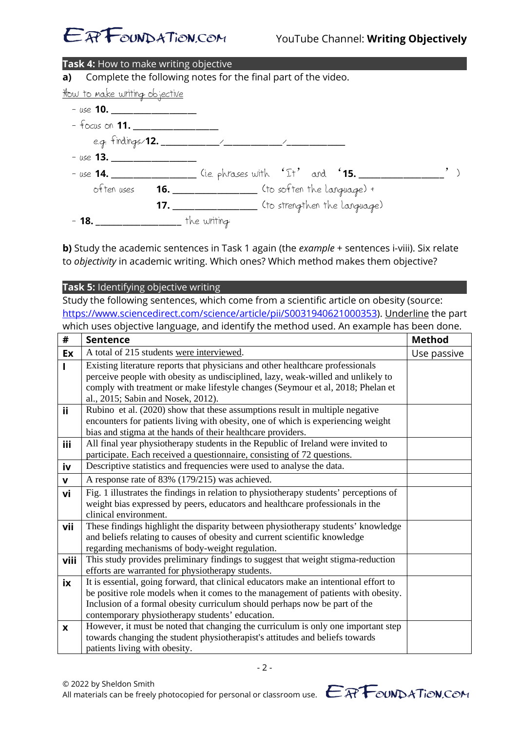

| Task 4: How to make writing objective |                                               |                                                                        |  |
|---------------------------------------|-----------------------------------------------|------------------------------------------------------------------------|--|
|                                       |                                               | a) Complete the following notes for the final part of the video.       |  |
| How to make writing objective         |                                               |                                                                        |  |
| $-$ use 10.                           |                                               |                                                                        |  |
| $-$ focus on <b>11.</b>               |                                               |                                                                        |  |
|                                       |                                               |                                                                        |  |
| $-$ use 13.                           |                                               |                                                                        |  |
|                                       |                                               | - use 14. __________________ (i.e. phrases with 'It' and '15. ________ |  |
|                                       |                                               | often uses <b>16.</b> 11. The soften the larguage) +                   |  |
|                                       |                                               | 17. ________________ (to strengthen the larguage)                      |  |
|                                       | - <b>18.</b> ___________________ the writing. |                                                                        |  |

**b)** Study the academic sentences in Task 1 again (the *example* + sentences i-viii). Six relate to *objectivity* in academic writing. Which ones? Which method makes them objective?

**Task 5:** Identifying objective writing Study the following sentences, which come from a scientific article on obesity (source: https://www.sciencedirect.com/science/article/pii/S0031940621000353). Underline the part which uses objective language, and identify the method used. An example has been done.

| #            | <b>Sentence</b>                                                                                                                                                                                                                                                                                             | <b>Method</b> |
|--------------|-------------------------------------------------------------------------------------------------------------------------------------------------------------------------------------------------------------------------------------------------------------------------------------------------------------|---------------|
| Ex           | A total of 215 students were interviewed.                                                                                                                                                                                                                                                                   | Use passive   |
|              | Existing literature reports that physicians and other healthcare professionals<br>perceive people with obesity as undisciplined, lazy, weak-willed and unlikely to<br>comply with treatment or make lifestyle changes (Seymour et al, 2018; Phelan et<br>al., 2015; Sabin and Nosek, 2012).                 |               |
| ii           | Rubino et al. (2020) show that these assumptions result in multiple negative<br>encounters for patients living with obesity, one of which is experiencing weight<br>bias and stigma at the hands of their healthcare providers.                                                                             |               |
| iii          | All final year physiotherapy students in the Republic of Ireland were invited to<br>participate. Each received a questionnaire, consisting of 72 questions.                                                                                                                                                 |               |
| iv           | Descriptive statistics and frequencies were used to analyse the data.                                                                                                                                                                                                                                       |               |
| $\mathbf{V}$ | A response rate of 83% (179/215) was achieved.                                                                                                                                                                                                                                                              |               |
| vi           | Fig. 1 illustrates the findings in relation to physiotherapy students' perceptions of<br>weight bias expressed by peers, educators and healthcare professionals in the<br>clinical environment.                                                                                                             |               |
| vii          | These findings highlight the disparity between physiotherapy students' knowledge<br>and beliefs relating to causes of obesity and current scientific knowledge<br>regarding mechanisms of body-weight regulation.                                                                                           |               |
| viii         | This study provides preliminary findings to suggest that weight stigma-reduction<br>efforts are warranted for physiotherapy students.                                                                                                                                                                       |               |
| ix           | It is essential, going forward, that clinical educators make an intentional effort to<br>be positive role models when it comes to the management of patients with obesity.<br>Inclusion of a formal obesity curriculum should perhaps now be part of the<br>contemporary physiotherapy students' education. |               |
| X            | However, it must be noted that changing the curriculum is only one important step<br>towards changing the student physiotherapist's attitudes and beliefs towards<br>patients living with obesity.                                                                                                          |               |

- 2 -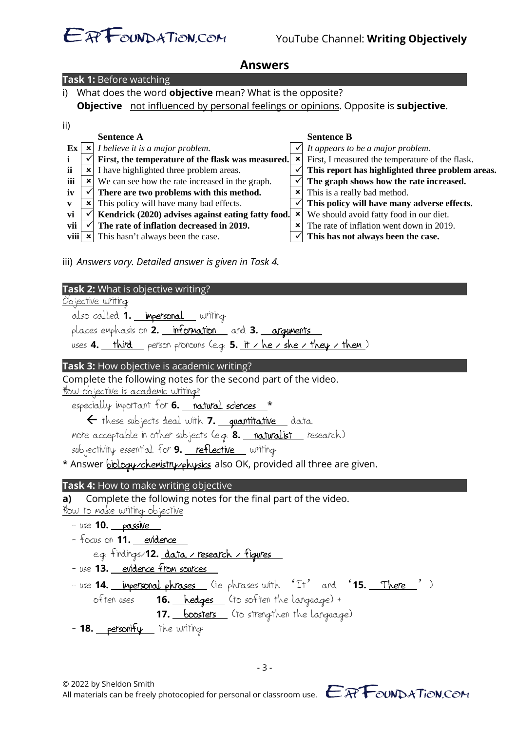# E<sup>a</sup>Found ATion.com YouTube Channel: Writing Objectively

| Answers                                                                                                                                                                                                                                                                                                                                                                                                                                                                                                                                                                                                                                                                                                                                                                                                                                                                                                                                                                                                                                                                                                                       |
|-------------------------------------------------------------------------------------------------------------------------------------------------------------------------------------------------------------------------------------------------------------------------------------------------------------------------------------------------------------------------------------------------------------------------------------------------------------------------------------------------------------------------------------------------------------------------------------------------------------------------------------------------------------------------------------------------------------------------------------------------------------------------------------------------------------------------------------------------------------------------------------------------------------------------------------------------------------------------------------------------------------------------------------------------------------------------------------------------------------------------------|
| Task 1: Before watching                                                                                                                                                                                                                                                                                                                                                                                                                                                                                                                                                                                                                                                                                                                                                                                                                                                                                                                                                                                                                                                                                                       |
| What does the word <b>objective</b> mean? What is the opposite?<br>i)                                                                                                                                                                                                                                                                                                                                                                                                                                                                                                                                                                                                                                                                                                                                                                                                                                                                                                                                                                                                                                                         |
| Objective not influenced by personal feelings or opinions. Opposite is subjective.                                                                                                                                                                                                                                                                                                                                                                                                                                                                                                                                                                                                                                                                                                                                                                                                                                                                                                                                                                                                                                            |
| ii)<br><b>Sentence A</b><br><b>Sentence B</b><br>$\vert x \vert$ I believe it is a major problem.<br>It appears to be a major problem.<br>Ex<br>First, I measured the temperature of the flask.<br>First, the temperature of the flask was measured.<br>$\pmb{\times}$<br>i<br>✓<br>ii<br>$\checkmark$<br>x I have highlighted three problem areas.<br>This report has highlighted three problem areas.<br>$\checkmark$<br>iii<br><b>*</b> We can see how the rate increased in the graph.<br>The graph shows how the rate increased.<br>×<br>$\checkmark$<br>There are two problems with this method.<br>This is a really bad method.<br>iv<br>$\checkmark$<br>This policy will have many bad effects.<br>This policy will have many adverse effects.<br>$\boldsymbol{\mathsf{x}}$<br>V<br>$\checkmark$<br>Kendrick (2020) advises against eating fatty food.<br>$\pmb{\times}$<br>We should avoid fatty food in our diet.<br>vi<br>The rate of inflation decreased in 2019.<br>The rate of inflation went down in 2019.<br>vii<br>×<br>viii<br>This hasn't always been the case.<br>This has not always been the case.<br>× |
| iii) Answers vary. Detailed answer is given in Task 4.<br>Task 2: What is objective writing?<br><u>Objective writing</u><br>also called 1. <b>impersonal</b> writing<br>places emphasis on 2. information and 3. arguments<br>uses 4. third person pronouns (e.g. 5. it / he / she / they / them)                                                                                                                                                                                                                                                                                                                                                                                                                                                                                                                                                                                                                                                                                                                                                                                                                             |
| Task 3: How objective is academic writing?<br>Complete the following notes for the second part of the video.<br>How objective is academic writing?<br>especially important for 6. natural sciences *<br>← these subjects deal with 7. <u>quantitative</u> data<br>more acceptable in other subjects (e.g. 8. naturalist research)<br>subjectivity essential for 9. reflective writing<br>* Answer biology / chemistry/physics also OK, provided all three are given.                                                                                                                                                                                                                                                                                                                                                                                                                                                                                                                                                                                                                                                          |
| <b>Task 4:</b> How to make writing objective<br>Complete the following notes for the final part of the video.<br>a)<br>How to make writing objective<br>- use 10. passive<br>- focus on 11. evidence<br>e.g. findings/12. <u>data / research / figures</u>                                                                                                                                                                                                                                                                                                                                                                                                                                                                                                                                                                                                                                                                                                                                                                                                                                                                    |

- use **13.** evidence from sources
- use **14.** impersonal phrases (i.e. phrases with 'It' and '15. There ')<br>often uses **16.** hedges (to soften the language) + 16. hedges (to soften the language) + **17.** boosters (to strengthen the language)
- **18. personify** the writing:

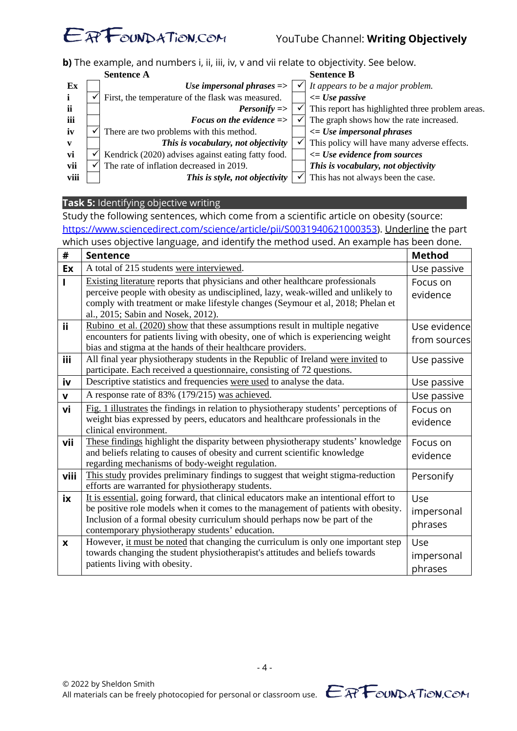

**b**) The example, and numbers i, ii, iii, iv, v and vii relate to objectivity. See below.

|              | <b>Sentence A</b>                                  | <b>Sentence B</b>                                |
|--------------|----------------------------------------------------|--------------------------------------------------|
| Ex           | Use impersonal phrases $\Rightarrow$               | It appears to be a major problem.                |
| j.           | First, the temperature of the flask was measured.  | $\leq$ Use passive                               |
| -ii          | <b>Personify</b> =>                                | This report has highlighted three problem areas. |
| iii          | Focus on the evidence $\Rightarrow$                | The graph shows how the rate increased.          |
| iv           | There are two problems with this method.           | $\leq$ Use impersonal phrases                    |
| $\mathbf{v}$ | This is vocabulary, not objectivity                | This policy will have many adverse effects.      |
| vi           | Kendrick (2020) advises against eating fatty food. | $\leq$ Use evidence from sources                 |
| vii          | The rate of inflation decreased in 2019.           | This is vocabulary, not objectivity              |
| viii         | This is style, not objectivity                     | This has not always been the case.               |

### **Task 5:** Identifying objective writing

Study the following sentences, which come from a scientific article on obesity (source: https://www.sciencedirect.com/science/article/pii/S0031940621000353). Underline the part which uses objective language, and identify the method used. An example has been done.

| #            | <b>Sentence</b>                                                                                                                                                                                                                                                                                             | <b>Method</b>                |
|--------------|-------------------------------------------------------------------------------------------------------------------------------------------------------------------------------------------------------------------------------------------------------------------------------------------------------------|------------------------------|
| Ex           | A total of 215 students were interviewed.                                                                                                                                                                                                                                                                   | Use passive                  |
|              | <b>Existing literature reports that physicians and other healthcare professionals</b><br>perceive people with obesity as undisciplined, lazy, weak-willed and unlikely to<br>comply with treatment or make lifestyle changes (Seymour et al, 2018; Phelan et<br>al., 2015; Sabin and Nosek, 2012).          | Focus on<br>evidence         |
| ii           | Rubino et al. (2020) show that these assumptions result in multiple negative<br>encounters for patients living with obesity, one of which is experiencing weight<br>bias and stigma at the hands of their healthcare providers.                                                                             | Use evidence<br>from sources |
| <b>iii</b>   | All final year physiotherapy students in the Republic of Ireland were invited to<br>participate. Each received a questionnaire, consisting of 72 questions.                                                                                                                                                 | Use passive                  |
| iv           | Descriptive statistics and frequencies were used to analyse the data.                                                                                                                                                                                                                                       | Use passive                  |
| $\mathbf{v}$ | A response rate of 83% (179/215) was achieved.                                                                                                                                                                                                                                                              | Use passive                  |
| vi           | Fig. 1 illustrates the findings in relation to physiotherapy students' perceptions of<br>weight bias expressed by peers, educators and healthcare professionals in the<br>clinical environment.                                                                                                             | Focus on<br>evidence         |
| vii          | These findings highlight the disparity between physiotherapy students' knowledge<br>and beliefs relating to causes of obesity and current scientific knowledge<br>regarding mechanisms of body-weight regulation.                                                                                           | Focus on<br>evidence         |
| viii         | This study provides preliminary findings to suggest that weight stigma-reduction<br>efforts are warranted for physiotherapy students.                                                                                                                                                                       | Personify                    |
| ix           | It is essential, going forward, that clinical educators make an intentional effort to<br>be positive role models when it comes to the management of patients with obesity.<br>Inclusion of a formal obesity curriculum should perhaps now be part of the<br>contemporary physiotherapy students' education. | Use<br>impersonal<br>phrases |
| X            | However, it must be noted that changing the curriculum is only one important step<br>towards changing the student physiotherapist's attitudes and beliefs towards<br>patients living with obesity.                                                                                                          | Use<br>impersonal<br>phrases |